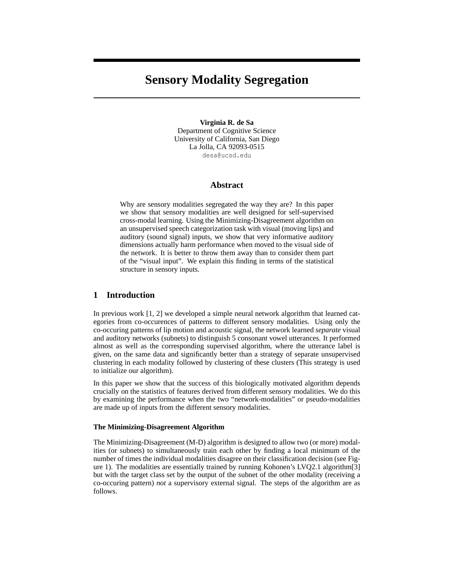# **Sensory Modality Segregation**

**Virginia R. de Sa** Department of Cognitive Science University of California, San Diego La Jolla, CA 92093-0515 desa@ucsd.edu

## **Abstract**

Why are sensory modalities segregated the way they are? In this paper we show that sensory modalities are well designed for self-supervised cross-modal learning. Using the Minimizing-Disagreement algorithm on an unsupervised speech categorization task with visual (moving lips) and auditory (sound signal) inputs, we show that very informative auditory dimensions actually harm performance when moved to the visual side of the network. It is better to throw them away than to consider them part of the "visual input". We explain this finding in terms of the statistical structure in sensory inputs.

## **1 Introduction**

In previous work [1, 2] we developed a simple neural network algorithm that learned categories from co-occurences of patterns to different sensory modalities. Using only the co-occuring patterns of lip motion and acoustic signal, the network learned *separate* visual and auditory networks (subnets) to distinguish 5 consonant vowel utterances. It performed almost as well as the corresponding supervised algorithm, where the utterance label is given, on the same data and significantly better than a strategy of separate unsupervised clustering in each modality followed by clustering of these clusters (This strategy is used to initialize our algorithm).

In this paper we show that the success of this biologically motivated algorithm depends crucially on the statistics of features derived from different sensory modalities. We do this by examining the performance when the two "network-modalities" or pseudo-modalities are made up of inputs from the different sensory modalities.

#### **The Minimizing-Disagreement Algorithm**

The Minimizing-Disagreement (M-D) algorithm is designed to allow two (or more) modalities (or subnets) to simultaneously train each other by finding a local minimum of the number of times the individual modalities disagree on their classification decision (see Figure 1). The modalities are essentially trained by running Kohonen's LVQ2.1 algorithm[3] but with the target class set by the output of the subnet of the other modality (receiving a co-occuring pattern) *not* a supervisory external signal. The steps of the algorithm are as follows.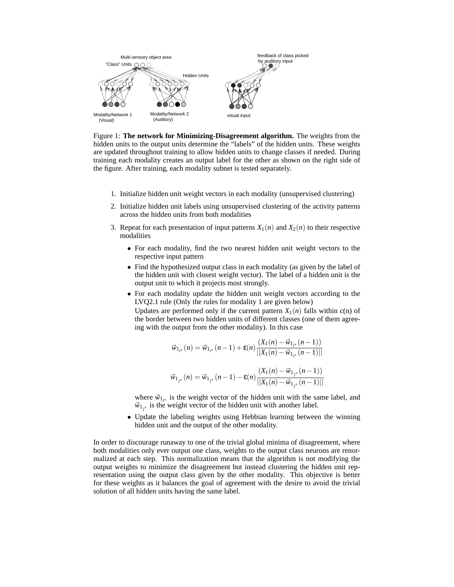

Figure 1: **The network for Minimizing-Disagreement algorithm.** The weights from the hidden units to the output units determine the "labels" of the hidden units. These weights are updated throughout training to allow hidden units to change classes if needed. During training each modality creates an output label for the other as shown on the right side of the figure. After training, each modality subnet is tested separately.

- 1. Initialize hidden unit weight vectors in each modality (unsupervised clustering)
- 2. Initialize hidden unit labels using unsupervised clustering of the activity patterns across the hidden units from both modalities
- 3. Repeat for each presentation of input patterns  $X_1(n)$  and  $X_2(n)$  to their respective modalities
	- For each modality, find the two nearest hidden unit weight vectors to the respective input pattern
	- Find the hypothesized output class in each modality (as given by the label of the hidden unit with closest weight vector). The label of a hidden unit is the output unit to which it projects most strongly.
	- For each modality update the hidden unit weight vectors according to the LVQ2.1 rule (Only the rules for modality 1 are given below)

Updates are performed only if the current pattern  $X_1(n)$  falls within c(n) of the border between two hidden units of different classes (one of them agreeing with the output from the other modality). In this case

$$
\vec{w}_{1_{i^*}}(n) = \vec{w}_{1_{i^*}}(n-1) + \varepsilon(n) \frac{(X_1(n) - \vec{w}_{1_{i^*}}(n-1))}{||X_1(n) - \vec{w}_{1_{i^*}}(n-1)||}
$$
  

$$
\vec{w}_{1_{j^*}}(n) = \vec{w}_{1_{j^*}}(n-1) - \varepsilon(n) \frac{(X_1(n) - \vec{w}_{1_{j^*}}(n-1))}{||X_1(n) - \vec{w}_{1_{j^*}}(n-1)||}
$$

where  $\vec{w}_{1_{i^*}}$  is the weight vector of the hidden unit with the same label, and  $\vec{w}_{1j^*}$  is the weight vector of the hidden unit with another label.

• Update the labeling weights using Hebbian learning between the winning hidden unit and the output of the other modality.

In order to discourage runaway to one of the trivial global minima of disagreement, where both modalities only ever output one class, weights to the output class neurons are renormalized at each step. This normalization means that the algorithm is not modifying the output weights to minimize the disagreement but instead clustering the hidden unit representation using the output class given by the other modality. This objective is better for these weights as it balances the goal of agreement with the desire to avoid the trivial solution of all hidden units having the same label.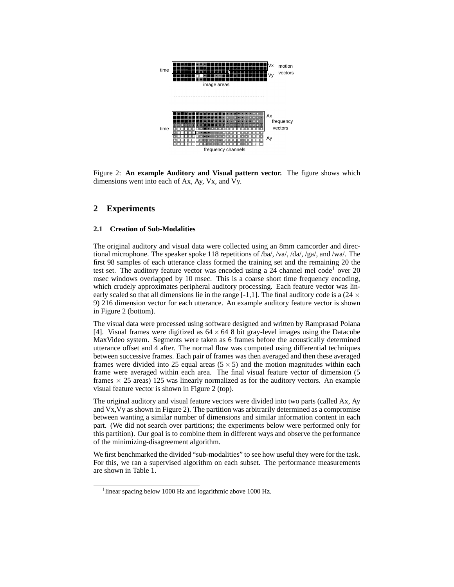

Figure 2: **An example Auditory and Visual pattern vector.** The figure shows which dimensions went into each of Ax, Ay, Vx, and Vy.

# **2 Experiments**

#### **2.1 Creation of Sub-Modalities**

The original auditory and visual data were collected using an 8mm camcorder and directional microphone. The speaker spoke 118 repetitions of /ba/, /va/, /da/, /ga/, and /wa/. The first 98 samples of each utterance class formed the training set and the remaining 20 the test set. The auditory feature vector was encoded using a  $24$  channel mel code<sup>1</sup> over  $20$ msec windows overlapped by 10 msec. This is a coarse short time frequency encoding, which crudely approximates peripheral auditory processing. Each feature vector was linearly scaled so that all dimensions lie in the range [-1,1]. The final auditory code is a (24  $\times$ 9) 216 dimension vector for each utterance. An example auditory feature vector is shown in Figure 2 (bottom).

The visual data were processed using software designed and written by Ramprasad Polana [4]. Visual frames were digitized as  $64 \times 64$  8 bit gray-level images using the Datacube MaxVideo system. Segments were taken as 6 frames before the acoustically determined utterance offset and 4 after. The normal flow was computed using differential techniques between successive frames. Each pair of frames was then averaged and then these averaged frames were divided into 25 equal areas  $(5 \times 5)$  and the motion magnitudes within each frame were averaged within each area. The final visual feature vector of dimension (5 frames  $\times$  25 areas) 125 was linearly normalized as for the auditory vectors. An example visual feature vector is shown in Figure 2 (top).

The original auditory and visual feature vectors were divided into two parts (called Ax, Ay and Vx,Vy as shown in Figure 2). The partition was arbitrarily determined as a compromise between wanting a similar number of dimensions and similar information content in each part. (We did not search over partitions; the experiments below were performed only for this partition). Our goal is to combine them in different ways and observe the performance of the minimizing-disagreement algorithm.

We first benchmarked the divided "sub-modalities" to see how useful they were for the task. For this, we ran a supervised algorithm on each subset. The performance measurements are shown in Table 1.

<sup>&</sup>lt;sup>1</sup>linear spacing below 1000 Hz and logarithmic above 1000 Hz.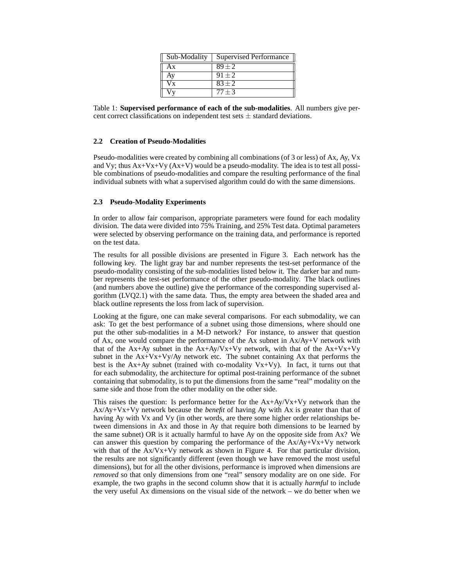| Sub-Modality | Supervised Performance |
|--------------|------------------------|
| Ax           | $89 + 2$               |
| Ay           | $91 + 2$               |
| $V_{X}$      | $83 + 2$               |
|              | $77 + 3$               |

Table 1: **Supervised performance of each of the sub-modalities**. All numbers give percent correct classifications on independent test sets  $\pm$  standard deviations.

## **2.2 Creation of Pseudo-Modalities**

Pseudo-modalities were created by combining all combinations (of 3 or less) of Ax, Ay, Vx and Vy; thus  $Ax+Vx+Vy$   $(Ax+V)$  would be a pseudo-modality. The idea is to test all possible combinations of pseudo-modalities and compare the resulting performance of the final individual subnets with what a supervised algorithm could do with the same dimensions.

## **2.3 Pseudo-Modality Experiments**

In order to allow fair comparison, appropriate parameters were found for each modality division. The data were divided into 75% Training, and 25% Test data. Optimal parameters were selected by observing performance on the training data, and performance is reported on the test data.

The results for all possible divisions are presented in Figure 3. Each network has the following key. The light gray bar and number represents the test-set performance of the pseudo-modality consisting of the sub-modalities listed below it. The darker bar and number represents the test-set performance of the other pseudo-modality. The black outlines (and numbers above the outline) give the performance of the corresponding supervised algorithm (LVQ2.1) with the same data. Thus, the empty area between the shaded area and black outline represents the loss from lack of supervision.

Looking at the figure, one can make several comparisons. For each submodality, we can ask: To get the best performance of a subnet using those dimensions, where should one put the other sub-modalities in a M-D network? For instance, to answer that question of Ax, one would compare the performance of the Ax subnet in Ax/Ay+V network with that of the Ax+Ay subnet in the  $Ax+Ay/Vx+Vy$  network, with that of the  $Ax+Vx+Vy$ subnet in the  $Ax+Vx+Vy/Ay$  network etc. The subnet containing Ax that performs the best is the Ax+Ay subnet (trained with co-modality Vx+Vy). In fact, it turns out that for each submodality, the architecture for optimal post-training performance of the subnet containing that submodality, is to put the dimensions from the same "real" modality on the same side and those from the other modality on the other side.

This raises the question: Is performance better for the  $Ax+Ay/Vx+Vy$  network than the Ax/Ay+Vx+Vy network because the *benefit* of having Ay with Ax is greater than that of having Ay with Vx and Vy (in other words, are there some higher order relationships between dimensions in Ax and those in Ay that require both dimensions to be learned by the same subnet) OR is it actually harmful to have Ay on the opposite side from Ax? We can answer this question by comparing the performance of the  $Ax/Ay+Vx+Vy$  network with that of the Ax/Vx+Vy network as shown in Figure 4. For that particular division, the results are not significantly different (even though we have removed the most useful dimensions), but for all the other divisions, performance is improved when dimensions are *removed* so that only dimensions from one "real" sensory modality are on one side. For example, the two graphs in the second column show that it is actually *harmful* to include the very useful Ax dimensions on the visual side of the network – we do better when we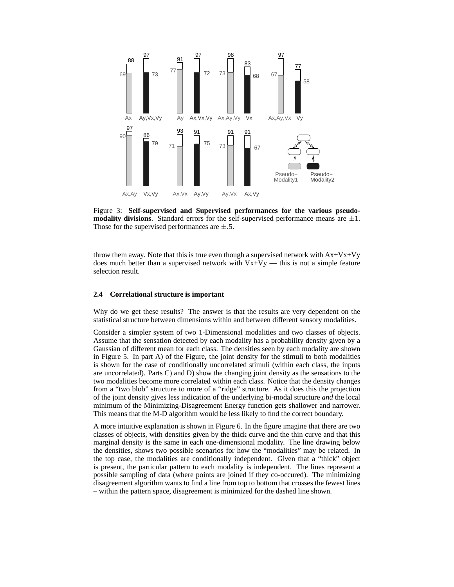

Figure 3: **Self-supervised and Supervised performances for the various pseudomodality divisions**. Standard errors for the self-supervised performance means are  $\pm 1$ . Those for the supervised performances are  $\pm$ .5.

throw them away. Note that this is true even though a supervised network with  $Ax+Vx+Vy$ does much better than a supervised network with  $Vx+Vy$  — this is not a simple feature selection result.

#### **2.4 Correlational structure is important**

Why do we get these results? The answer is that the results are very dependent on the statistical structure between dimensions within and between different sensory modalities.

Consider a simpler system of two 1-Dimensional modalities and two classes of objects. Assume that the sensation detected by each modality has a probability density given by a Gaussian of different mean for each class. The densities seen by each modality are shown in Figure 5. In part A) of the Figure, the joint density for the stimuli to both modalities is shown for the case of conditionally uncorrelated stimuli (within each class, the inputs are uncorrelated). Parts C) and D) show the changing joint density as the sensations to the two modalities become more correlated within each class. Notice that the density changes from a "two blob" structure to more of a "ridge" structure. As it does this the projection of the joint density gives less indication of the underlying bi-modal structure *and* the local minimum of the Minimizing-Disagreement Energy function gets shallower and narrower. This means that the M-D algorithm would be less likely to find the correct boundary.

A more intuitive explanation is shown in Figure 6. In the figure imagine that there are two classes of objects, with densities given by the thick curve and the thin curve and that this marginal density is the same in each one-dimensional modality. The line drawing below the densities, shows two possible scenarios for how the "modalities" may be related. In the top case, the modalities are conditionally independent. Given that a "thick" object is present, the particular pattern to each modality is independent. The lines represent a possible sampling of data (where points are joined if they co-occured). The minimizing disagreement algorithm wants to find a line from top to bottom that crosses the fewest lines – within the pattern space, disagreement is minimized for the dashed line shown.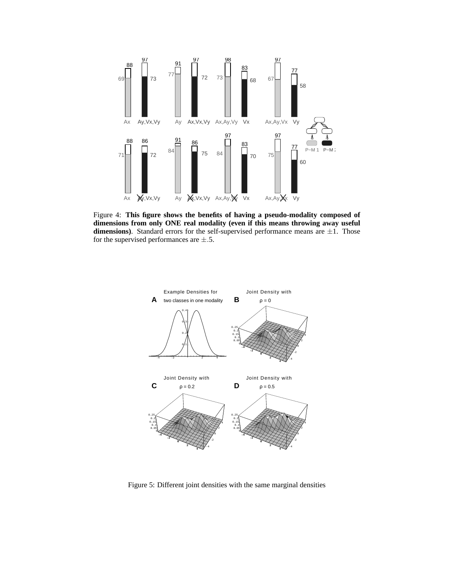

Figure 4: **This figure shows the benefits of having a pseudo-modality composed of dimensions from only ONE real modality (even if this means throwing away useful dimensions**). Standard errors for the self-supervised performance means are  $\pm 1$ . Those for the supervised performances are  $\pm$ .5.



Figure 5: Different joint densities with the same marginal densities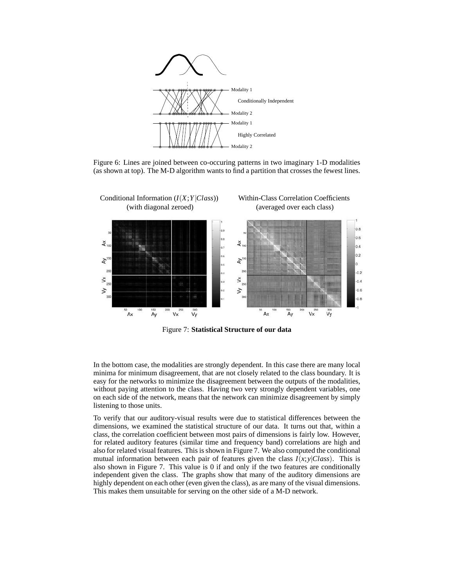

Figure 6: Lines are joined between co-occuring patterns in two imaginary 1-D modalities (as shown at top). The M-D algorithm wants to find a partition that crosses the fewest lines.



Figure 7: **Statistical Structure of our data**

In the bottom case, the modalities are strongly dependent. In this case there are many local minima for minimum disagreement, that are not closely related to the class boundary. It is easy for the networks to minimize the disagreement between the outputs of the modalities, without paying attention to the class. Having two very strongly dependent variables, one on each side of the network, means that the network can minimize disagreement by simply listening to those units.

To verify that our auditory-visual results were due to statistical differences between the dimensions, we examined the statistical structure of our data. It turns out that, within a class, the correlation coefficient between most pairs of dimensions is fairly low. However, for related auditory features (similar time and frequency band) correlations are high and also for related visual features. This is shown in Figure 7. We also computed the conditional mutual information between each pair of features given the class  $I(x, y|Class)$ . This is also shown in Figure 7. This value is 0 if and only if the two features are conditionally independent given the class. The graphs show that many of the auditory dimensions are highly dependent on each other (even given the class), as are many of the visual dimensions. This makes them unsuitable for serving on the other side of a M-D network.